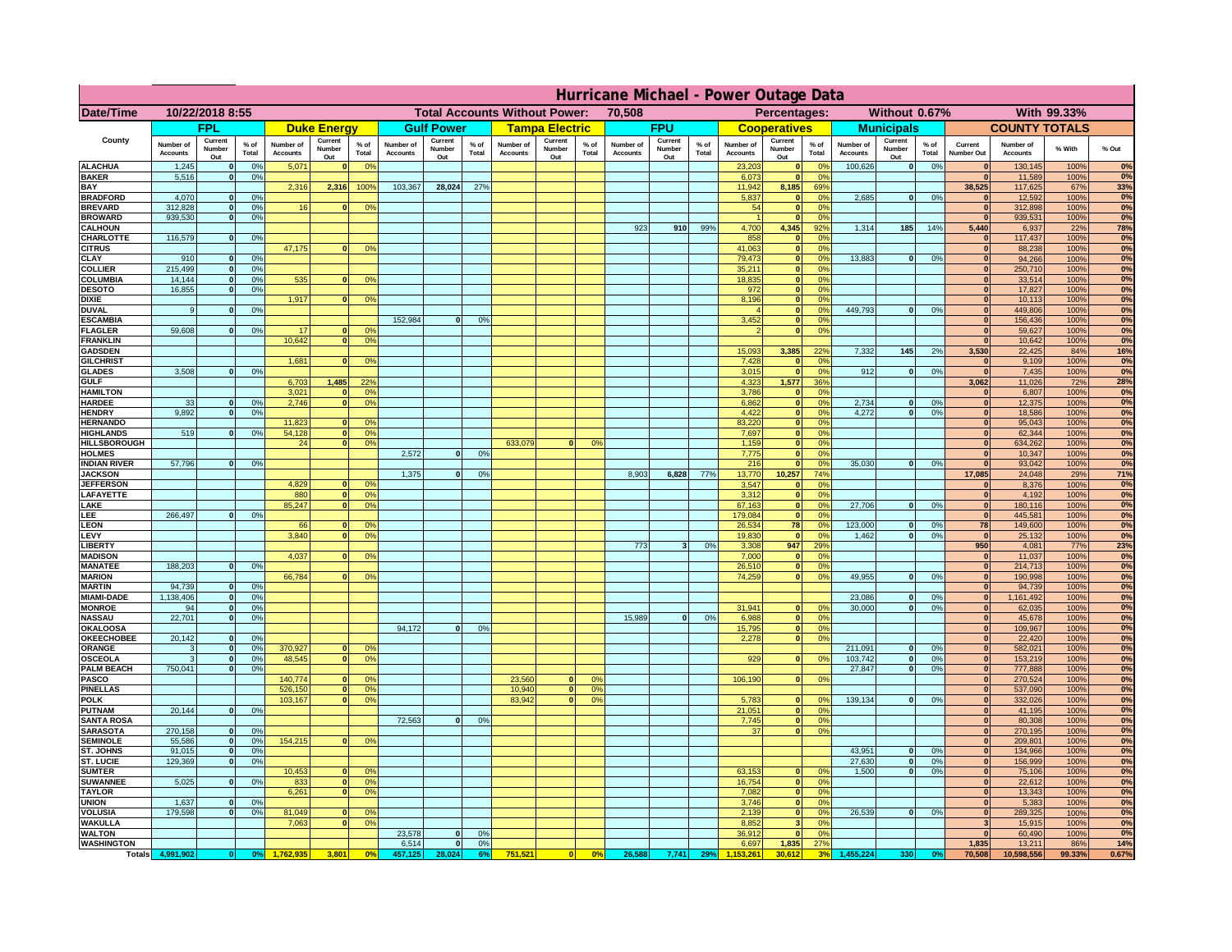|                                    | Hurricane Michael - Power Outage Data |                              |                      |                              |                                 |                 |                                                |                          |                      |                              |                                              |                 |                              |                          |               |                              |                              |                                               |                              |                          |                 |                              |                              |              |             |
|------------------------------------|---------------------------------------|------------------------------|----------------------|------------------------------|---------------------------------|-----------------|------------------------------------------------|--------------------------|----------------------|------------------------------|----------------------------------------------|-----------------|------------------------------|--------------------------|---------------|------------------------------|------------------------------|-----------------------------------------------|------------------------------|--------------------------|-----------------|------------------------------|------------------------------|--------------|-------------|
| Date/Time                          | 10/22/2018 8:55                       |                              |                      |                              |                                 |                 | <b>Total Accounts Without Power:</b><br>70,508 |                          |                      |                              | With 99.33%<br>Percentages:<br>Without 0.67% |                 |                              |                          |               |                              |                              |                                               |                              |                          |                 |                              |                              |              |             |
|                                    |                                       | <b>FPL</b>                   |                      |                              | <b>Duke Energy</b>              |                 |                                                | <b>Gulf Power</b>        |                      |                              | <b>Tampa Electric</b>                        |                 |                              | <b>FPU</b>               |               |                              | <b>Cooperatives</b>          |                                               |                              | <b>Municipals</b>        |                 |                              | <b>COUNTY TOTALS</b>         |              |             |
| County                             | Number of<br><b>Accounts</b>          | Current<br>Number<br>Out     | $%$ of<br>Total      | Number of<br><b>Accounts</b> | Current<br><b>Number</b><br>Out | $%$ of<br>Total | Number of<br>Accounts                          | Current<br>Number<br>Out | $%$ of<br>Total      | Number of<br><b>Accounts</b> | Current<br>Number<br>Out                     | $%$ of<br>Total | Number of<br><b>Accounts</b> | Current<br>Number<br>Out | % of<br>Total | Number of<br><b>Accounts</b> | Current<br>Number<br>Out     | $%$ of<br><b>Total</b>                        | Number of<br><b>Accounts</b> | Current<br>Number<br>Out | $%$ of<br>Total | Current<br>Number Out        | Number of<br><b>Accounts</b> | % With       | % Out       |
| <b>ALACHUA</b><br><b>BAKER</b>     | 1,245                                 | $\mathbf{0}$<br>$\mathbf{0}$ | 0%                   | 5,071                        |                                 | 0 <sup>9</sup>  |                                                |                          |                      |                              |                                              |                 |                              |                          |               | 23,203                       | $\bf{0}$<br>$\mathbf{0}$     | $^{\circ}$<br>0 <sup>9</sup>                  | 100,626                      | 0                        | 0%              | $\mathbf{0}$<br>$\mathbf{0}$ | 130,145                      | 100%         | 0%<br>0%    |
| BAY                                | 5,516                                 |                              | 0%                   | 2,316                        | 2,316                           | 100%            | 103,367                                        | 28,024                   | 27%                  |                              |                                              |                 |                              |                          |               | 6,073<br>11,942              | 8,185                        | 69%                                           |                              |                          |                 | 38,525                       | 11,589<br>117,625            | 100%<br>67%  | 33%         |
| <b>BRADFORD</b>                    | 4,070                                 | $\Omega$                     | 0%                   |                              |                                 |                 |                                                |                          |                      |                              |                                              |                 |                              |                          |               | 5,837                        | 0                            | 0 <sup>o</sup>                                | 2,685                        | 0                        | 0%              | $\Omega$                     | 12,592                       | 100%         | 0%          |
| <b>BREVARD</b><br><b>BROWARD</b>   | 312.828<br>939.530                    | $\mathbf{0}$<br>$\mathbf{0}$ | 0 <sup>9</sup><br>0% | 16                           |                                 | 0 <sup>o</sup>  |                                                |                          |                      |                              |                                              |                 |                              |                          |               | 54                           | 0 <br> 0                     | 0 <sup>9</sup><br>0%                          |                              |                          |                 | 0 <br> 0                     | 312,898<br>939,531           | 100%<br>100% | 0%<br>0%    |
| <b>CALHOUN</b>                     |                                       |                              |                      |                              |                                 |                 |                                                |                          |                      |                              |                                              |                 | 923                          | 910                      | 99%           | 4,700                        | 4,345                        | 92%                                           | 1,314                        | 185                      | 14%             | 5,440                        | 6,937                        | 22%          | 78%         |
| CHARLOTTE<br><b>CITRUS</b>         | 116,579                               | $\mathbf{0}$                 | 0%                   | 47,175                       |                                 | 0 <sup>o</sup>  |                                                |                          |                      |                              |                                              |                 |                              |                          |               | 858<br>41.063                | 0 <br> 0                     | 0%<br>0 <sup>9</sup>                          |                              |                          |                 | $\mathbf{0}$<br>$\mathbf{0}$ | 117,437<br>88.238            | 100%<br>100% | 0%<br>0%    |
| CLAY                               | 910                                   |                              | 0 <sup>9</sup>       |                              |                                 |                 |                                                |                          |                      |                              |                                              |                 |                              |                          |               | 79,473                       | 0                            | 0 <sup>9</sup>                                | 13,883                       | 0                        | 0%              | $\bf{0}$                     | 94,266                       | 100%         | 0%          |
| <b>COLLIER</b>                     | 215,499                               |                              | 0%                   |                              |                                 |                 |                                                |                          |                      |                              |                                              |                 |                              |                          |               | 35,211                       | 0                            | 0 <sup>9</sup>                                |                              |                          |                 | $\mathbf{0}$                 | 250,710                      | 100%         | 0%          |
| COLUMBIA<br><b>DESOTO</b>          | 14,144<br>16,855                      |                              | 0%<br>0%             | 535                          |                                 | 0 <sup>o</sup>  |                                                |                          |                      |                              |                                              |                 |                              |                          |               | 18,835<br>972                | 0 <br> 0                     | 0 <sup>9</sup><br>0 <sup>9</sup>              |                              |                          |                 | $\mathbf{0}$                 | 33,514<br>17,827             | 100%<br>100% | 0%<br>0%    |
| <b>DIXIE</b>                       |                                       |                              |                      | 1,917                        |                                 | 0 <sup>o</sup>  |                                                |                          |                      |                              |                                              |                 |                              |                          |               | 8,196                        | 0                            | 0 <sup>9</sup>                                |                              |                          |                 |                              | 10,113                       | 100%         | 0%          |
| <b>DUVAL</b>                       | 9                                     |                              | 0 <sup>9</sup>       |                              |                                 |                 |                                                |                          |                      |                              |                                              |                 |                              |                          |               |                              | 0                            | 0 <sup>9</sup>                                | 449,793                      | 0                        | 0%              | $\mathbf{0}$                 | 449,806                      | 100%         | 0%          |
| <b>ESCAMBIA</b><br><b>FLAGLER</b>  | 59,608                                | $\mathbf{0}$                 | 0 <sup>9</sup>       | 17                           |                                 | 0 <sup>9</sup>  | 152,984                                        | $\Omega$                 | 0 <sup>9</sup>       |                              |                                              |                 |                              |                          |               | 3,452                        | $\mathbf{0}$<br>$\mathbf{0}$ | 0 <sup>o</sup><br>0 <sup>9</sup>              |                              |                          |                 | $\mathbf{0}$<br>$\mathbf{0}$ | 156,436<br>59,627            | 100%<br>100% | 0%<br>0%    |
| <b>FRANKLIN</b>                    |                                       |                              |                      | 10,642                       |                                 | 0 <sup>9</sup>  |                                                |                          |                      |                              |                                              |                 |                              |                          |               |                              |                              |                                               |                              |                          |                 | $\mathbf{0}$                 | 10,642                       | 100%         | 0%          |
| <b>GADSDEN</b>                     |                                       |                              |                      |                              |                                 |                 |                                                |                          |                      |                              |                                              |                 |                              |                          |               | 15,093                       | 3,385                        | 22%                                           | 7,332                        | 145                      | 2%              | 3,530                        | 22,425                       | 84%          | 16%         |
| <b>GILCHRIST</b><br><b>GLADES</b>  | 3.508                                 |                              | 0%                   | 1.681                        |                                 | 0%              |                                                |                          |                      |                              |                                              |                 |                              |                          |               | 7,428<br>3,015               | 0 <br> 0                     | 0 <sup>9</sup><br>0%                          | 912                          | $\mathbf{0}$             | 0%              | $\mathbf{0}$<br>$\mathbf{0}$ | 9,109<br>7,435               | 100%<br>100% | 0%<br>0%    |
| <b>GULF</b>                        |                                       |                              |                      | 6,703                        | 1,485                           | 22%             |                                                |                          |                      |                              |                                              |                 |                              |                          |               | 4,323                        | 1,577                        | 36%                                           |                              |                          |                 | 3,062                        | 11,026                       | 72%          | 28%         |
| <b>HAMILTON</b>                    |                                       |                              |                      | 3,021                        |                                 | 0%              |                                                |                          |                      |                              |                                              |                 |                              |                          |               | 3,786                        | 0                            | 0%                                            |                              |                          |                 | 0                            | 6,807                        | 100%         | 0%          |
| <b>HARDEE</b><br><b>HENDRY</b>     | 33<br>9.892                           | $\mathbf{0}$<br>$\Omega$     | 0%<br>0 <sup>9</sup> | 2,746                        |                                 | 0 <sup>9</sup>  |                                                |                          |                      |                              |                                              |                 |                              |                          |               | 6,862<br>4,422               | $\overline{0}$               | 0%<br> 0 <br>0%                               | 2,734<br>4.272               | $\mathbf{0}$<br> 0       | 0%<br>0%        | 0 <br> 0                     | 12,375<br>18,586             | 100%<br>100% | 0%<br>0%    |
| <b>HERNANDO</b>                    |                                       |                              |                      | 11,823                       |                                 | 0 <sup>o</sup>  |                                                |                          |                      |                              |                                              |                 |                              |                          |               | 83,220                       |                              | 0 <br>0 <sup>9</sup>                          |                              |                          |                 | 0                            | 95,043                       | 100%         | 0%          |
| <b>HIGHLANDS</b>                   | 519                                   | $\Omega$                     | 0%                   | 54,128<br>24                 |                                 | 0 <sup>9</sup>  |                                                |                          |                      |                              | $\Omega$                                     | 0 <sup>9</sup>  |                              |                          |               | 7,697                        |                              | 0 <br>0 <sup>9</sup><br>0 <sup>9</sup>        |                              |                          |                 | 0 <br> 0                     | 62,344                       | 100%         | 0%<br>0%    |
| HILLSBOROUGH<br><b>HOLMES</b>      |                                       |                              |                      |                              |                                 | 0 <sup>9</sup>  | 2,572                                          | $\Omega$                 | 0 <sup>9</sup>       | 633,079                      |                                              |                 |                              |                          |               | 1,159<br>7,775               | 0                            | 0 <br>0 <sup>9</sup>                          |                              |                          |                 | $\mathbf{0}$                 | 634,262<br>10,347            | 100%<br>100% | 0%          |
| <b>INDIAN RIVER</b>                | 57,796                                |                              | 0%                   |                              |                                 |                 |                                                |                          |                      |                              |                                              |                 |                              |                          |               | 216                          | 0                            | 0 <sup>9</sup>                                | 35.030                       | 0                        | 0%              | $\mathbf{0}$                 | 93,042                       | 100%         | 0%          |
| <b>JACKSON</b><br><b>JEFFERSON</b> |                                       |                              |                      | 4.829                        |                                 | 0 <sup>9</sup>  | 1,375                                          | $\Omega$                 | 0 <sup>9</sup>       |                              |                                              |                 | 8,903                        | 6,828                    | 77%           | 13,770<br>3,547              | 10,257<br>$\mathbf{0}$       | 74%<br>0%                                     |                              |                          |                 | 17,085<br>$\mathbf{0}$       | 24,048<br>8,376              | 29%<br>100%  | 71%<br>0%   |
| LAFAYETTE                          |                                       |                              |                      | 880                          | n.                              | 0 <sup>9</sup>  |                                                |                          |                      |                              |                                              |                 |                              |                          |               | 3.312                        |                              | $\mathbf{0}$<br>0%                            |                              |                          |                 | 0                            | 4.192                        | 100%         | 0%          |
| LAKE                               |                                       |                              |                      | 85,247                       |                                 | 0%              |                                                |                          |                      |                              |                                              |                 |                              |                          |               | 67,163                       |                              | 0 <br>0%                                      | 27,706                       | $\mathbf{0}$             | 0%              | 0                            | 180,116                      | 100%         | 0%          |
| LEE<br><b>LEON</b>                 | 266,497                               |                              | 0%                   | 66                           |                                 | 0 <sup>9</sup>  |                                                |                          |                      |                              |                                              |                 |                              |                          |               | 179,084<br>26,534            | 78                           | 0 <br>0%<br>0%                                | 123,000                      | $\mathbf{0}$             | 0%              | 0 <br>78                     | 445,581<br>149,600           | 100%<br>100% | 0%<br>$0\%$ |
| LEVY                               |                                       |                              |                      | 3,840                        |                                 | 0 <sup>o</sup>  |                                                |                          |                      |                              |                                              |                 |                              |                          |               | 19,830                       | 0                            | 0%                                            | 1,462                        | $\mathbf{0}$             | 0%              | 0                            | 25,132                       | 100%         | 0%          |
| <b>LIBERT</b>                      |                                       |                              |                      |                              |                                 |                 |                                                |                          |                      |                              |                                              |                 | 773                          | $\overline{\mathbf{3}}$  | 0%            | 3,308                        | 947                          | 29%                                           |                              |                          |                 | 950                          | 4,081                        | 77%          | 23%         |
| <b>MADISON</b><br><b>MANATEE</b>   | 188,203                               | $\mathbf{0}$                 | 0 <sup>9</sup>       | 4,037                        |                                 | 0 <sup>o</sup>  |                                                |                          |                      |                              |                                              |                 |                              |                          |               | 7,000<br>26,510              |                              | 0 <br>0%<br>0%<br> 0                          |                              |                          |                 | 0 <br> 0                     | 11,037<br>214,713            | 100%<br>100% | 0%<br>0%    |
| <b>MARION</b>                      |                                       |                              |                      | 66,784                       |                                 | 0 <sup>o</sup>  |                                                |                          |                      |                              |                                              |                 |                              |                          |               | 74,259                       |                              | 0%<br> 0                                      | 49,955                       | $\Omega$                 | 0%              | 0                            | 190,998                      | 100%         | 0%          |
| <b>MARTIN</b>                      | 94,739                                | $\mathbf{0}$                 | 0%                   |                              |                                 |                 |                                                |                          |                      |                              |                                              |                 |                              |                          |               |                              |                              |                                               |                              |                          |                 | 0                            | 94,739                       | 100%         | 0%<br>0%    |
| <b>MIAMI-DADE</b><br><b>MONROE</b> | 1,138,406<br>94                       | 0 <br>-ol                    | 0%<br>0%             |                              |                                 |                 |                                                |                          |                      |                              |                                              |                 |                              |                          |               | 31,941                       | $\mathbf{0}$                 | 0 <sup>9</sup>                                | 23,086<br>30,000             | 0 <br> 0                 | 0%<br>0%        | 0 <br>$\mathbf{0}$           | 1,161,492<br>62,035          | 100%<br>100% | 0%          |
| <b>NASSAU</b>                      | 22,701                                | 0                            | 0%                   |                              |                                 |                 |                                                |                          |                      |                              |                                              |                 | 15,989                       | 0                        | 0%            | 6,988                        |                              | 0 <br>0%                                      |                              |                          |                 | 0                            | 45,678                       | 100%         | 0%          |
| <b>OKALOOSA</b>                    | 20,142                                | 0                            | 0%                   |                              |                                 |                 | 94,172                                         | 0                        | 0%                   |                              |                                              |                 |                              |                          |               | 15,795                       |                              | 0%<br> 0 <br>0%<br> 0                         |                              |                          |                 | 0                            | 109,967                      | 100%         | 0%<br>0%    |
| <b>OKEECHOBEE</b><br>ORANGE        | 3                                     | 0                            | 0%                   | 370,927                      |                                 | 0 <sup>9</sup>  |                                                |                          |                      |                              |                                              |                 |                              |                          |               | 2,278                        |                              |                                               | 211,091                      | 0                        | 0%              | 0 <br> 0                     | 22,420<br>582,021            | 100%<br>100% | 0%          |
| <b>OSCEOLA</b>                     | 3                                     | 0                            | 0%                   | 48,545                       | $\mathbf{0}$                    | 0%              |                                                |                          |                      |                              |                                              |                 |                              |                          |               | 929                          |                              | 0 <br>0%                                      | 103,742                      | 0                        | 0%              | 0                            | 153,219                      | 100%         | 0%          |
| <b>PALM BEACH</b><br><b>PASCO</b>  | 750,041                               | 0                            | 0%                   | 140,774                      |                                 | 0 <sup>9</sup>  |                                                |                          |                      | 23,560                       | $\mathbf{0}$                                 | O <sup>o</sup>  |                              |                          |               | 106,190                      |                              | 0 <br>0%                                      | 27,847                       | 0                        | 0%              | 0 <br> 0                     | 777,888<br>270,524           | 100%<br>100% | 0%<br>0%    |
| <b>PINELLAS</b>                    |                                       |                              |                      | 526,150                      | $\mathbf{0}$                    | 0%              |                                                |                          |                      | 10,940                       | 0                                            | 0 <sup>9</sup>  |                              |                          |               |                              |                              |                                               |                              |                          |                 | 0                            | 537,090                      | 100%         | 0%          |
| <b>POLK</b>                        |                                       |                              |                      | 103,167                      | $\Omega$                        | 0 <sup>9</sup>  |                                                |                          |                      | 83,942                       | 0                                            | 0 <sup>o</sup>  |                              |                          |               | 5,783                        |                              | 0 <br>$^{\circ}$                              | 139,134                      | 0                        | 0%              | 0                            | 332,026                      | 100%         | 0%          |
| <b>PUTNAM</b><br><b>SANTA ROSA</b> | 20,144                                | 0                            | 0%                   |                              |                                 |                 | 72,563                                         | 0                        | 0%                   |                              |                                              |                 |                              |                          |               | 21,051<br>7,745              |                              | 0 <sup>9</sup><br> 0 <br>0 <sup>9</sup><br> 0 |                              |                          |                 | 0 <br>$\Omega$               | 41,195<br>80,308             | 100%<br>100% | 0%<br>0%    |
| <b>SARASOTA</b>                    | 270,158                               | 0                            | 0 <sup>9</sup>       |                              |                                 |                 |                                                |                          |                      |                              |                                              |                 |                              |                          |               | 37                           |                              | 0%<br> 0                                      |                              |                          |                 | $\mathbf{0}$                 | 270,195                      | 100%         | 0%          |
| <b>SEMINOLE</b>                    | 55,586                                | 0                            | 0 <sup>9</sup>       | 154,215                      | $\mathbf{0}$                    | 0 <sup>9</sup>  |                                                |                          |                      |                              |                                              |                 |                              |                          |               |                              |                              |                                               |                              |                          |                 | 0                            | 209,801                      | 100%         | 0%          |
| ST. JOHNS<br><b>ST. LUCIE</b>      | 91,015<br>129,369                     | 0 <br>$\mathbf{0}$           | 0%<br>0%             |                              |                                 |                 |                                                |                          |                      |                              |                                              |                 |                              |                          |               |                              |                              |                                               | 43,951<br>27,630             | 0 <br> 0                 | 0%<br>0%        | $\mathbf{0}$<br>$\mathbf{0}$ | 134,966<br>156,999           | 100%<br>100% | 0%<br>0%    |
| <b>SUMTER</b>                      |                                       |                              |                      | 10,453                       |                                 | 0 <sup>9</sup>  |                                                |                          |                      |                              |                                              |                 |                              |                          |               | 63,153                       | $\mathbf{0}$                 | 0 <sup>9</sup>                                | 1.500                        | 0                        | 0%              | $\mathbf{0}$                 | 75,106                       | 100%         | 0%          |
| <b>SUWANNEE</b>                    | 5,025                                 | $\Omega$                     | 0%                   | 833                          | $\mathbf{0}$                    | 0 <sup>9</sup>  |                                                |                          |                      |                              |                                              |                 |                              |                          |               | 16,754                       |                              | 0 <br>0%                                      |                              |                          |                 | $\mathbf{0}$                 | 22,612                       | 100%         | 0%          |
| <b>TAYLOR</b><br><b>UNION</b>      | 1.637                                 | $\mathbf{0}$                 | 0%                   | 6,261                        |                                 | 0%              |                                                |                          |                      |                              |                                              |                 |                              |                          |               | 7,082<br>3.746               | 0                            | 0%<br>0%<br> 0                                |                              |                          |                 | 0 <br>$\mathbf{0}$           | 13,343<br>5,383              | 100%<br>100% | 0%<br>$0\%$ |
| <b>VOLUSIA</b>                     | 179.598                               | $\mathbf{0}$                 | 0%                   | 81,049                       |                                 | 0 <sup>9</sup>  |                                                |                          |                      |                              |                                              |                 |                              |                          |               | 2.139                        |                              | 0 <br>0%                                      | 26.539                       | 0                        | 0%              | $\mathbf{0}$                 | 289,325                      | 100%         | 0%          |
| <b>WAKULLA</b>                     |                                       |                              |                      | 7,063                        |                                 | 0 <sup>o</sup>  |                                                |                          |                      |                              |                                              |                 |                              |                          |               | 8,852                        | 3 <sup>l</sup>               | 0%                                            |                              |                          |                 |                              | 15,915                       | 100%         | 0%          |
| <b>WALTON</b><br><b>WASHINGTON</b> |                                       |                              |                      |                              |                                 |                 | 23,578<br>6,514                                | 0 <br> 0                 | 0 <sup>9</sup><br>0% |                              |                                              |                 |                              |                          |               | 36,912<br>6,697              | 0 <br>1,835                  | 0%<br>27%                                     |                              |                          |                 | 0 <br>1,835                  | 60,490<br>13,211             | 100%<br>86%  | 0%<br>14%   |
| <b>Totals</b>                      | 4,991,902                             | 0                            | 0 <sup>9</sup>       |                              | 3,801                           | 0 <sup>o</sup>  | 457,125                                        | 28,024                   | 6%                   | 751,521                      | 0                                            | 0%              | 26,588                       | 7,741                    | 29%           |                              | 30.61                        |                                               | 1,455,224                    | 330                      | 0 <sup>o</sup>  | 70,508                       | 10,598,556                   | 99.33%       | 0.67%       |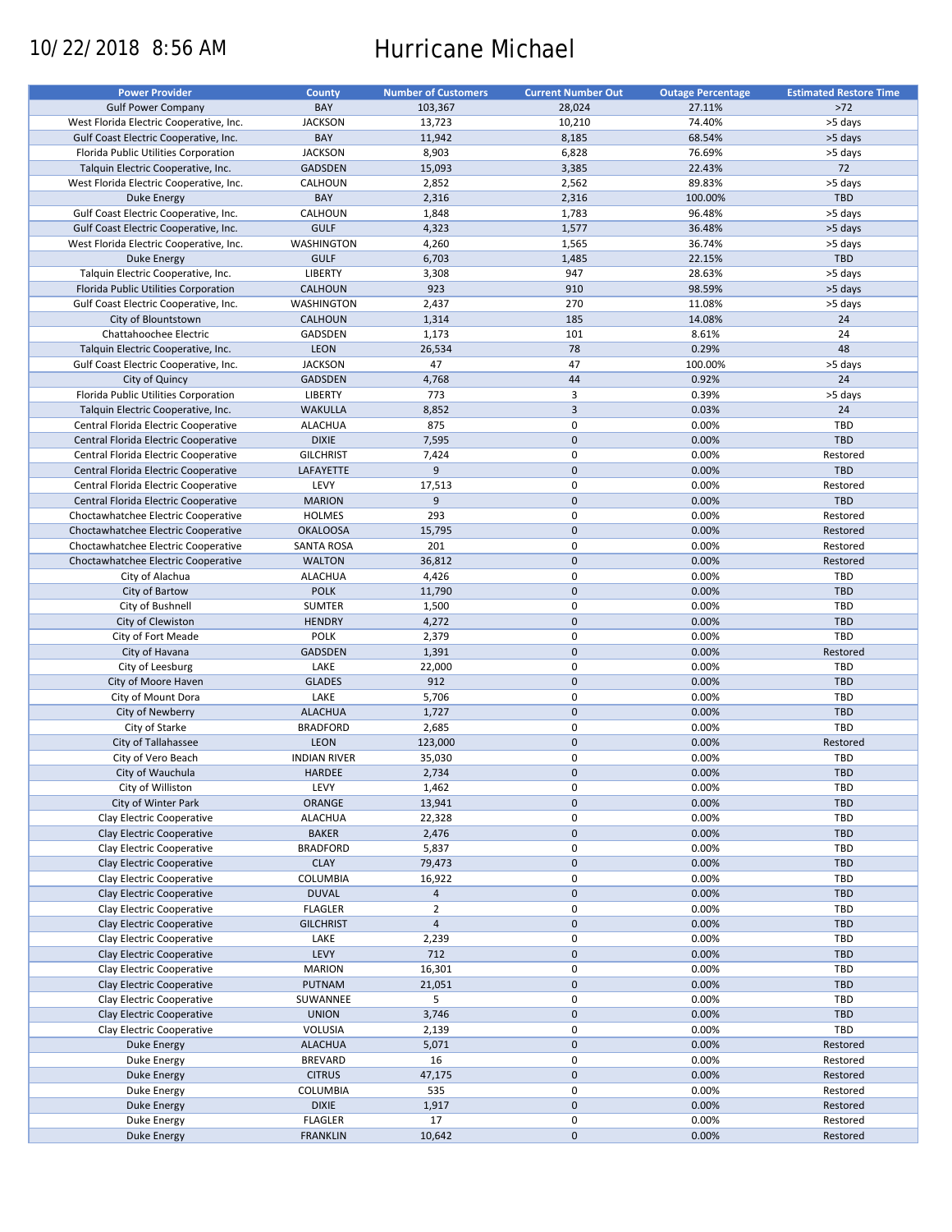# 10/22/2018 8:56 AM Hurricane Michael

| <b>Power Provider</b>                   | <b>County</b>                   | <b>Number of Customers</b> | <b>Current Number Out</b> | <b>Outage Percentage</b> | <b>Estimated Restore Time</b> |
|-----------------------------------------|---------------------------------|----------------------------|---------------------------|--------------------------|-------------------------------|
| <b>Gulf Power Company</b>               | BAY                             | 103,367                    | 28,024                    | 27.11%                   | $>72$                         |
| West Florida Electric Cooperative, Inc. | <b>JACKSON</b>                  | 13,723                     | 10,210                    | 74.40%                   | >5 days                       |
| Gulf Coast Electric Cooperative, Inc.   | BAY                             | 11,942                     | 8,185                     | 68.54%                   | >5 days                       |
|                                         |                                 |                            |                           |                          |                               |
| Florida Public Utilities Corporation    | <b>JACKSON</b>                  | 8,903                      | 6,828                     | 76.69%                   | >5 days                       |
| Talquin Electric Cooperative, Inc.      | <b>GADSDEN</b>                  | 15,093                     | 3,385                     | 22.43%                   | 72                            |
| West Florida Electric Cooperative, Inc. | CALHOUN                         | 2,852                      | 2,562                     | 89.83%                   | >5 days                       |
| Duke Energy                             | BAY                             | 2,316                      | 2,316                     | 100.00%                  | <b>TBD</b>                    |
| Gulf Coast Electric Cooperative, Inc.   | CALHOUN                         | 1,848                      | 1,783                     | 96.48%                   | >5 days                       |
| Gulf Coast Electric Cooperative, Inc.   | <b>GULF</b>                     | 4,323                      | 1,577                     | 36.48%                   | >5 days                       |
| West Florida Electric Cooperative, Inc. | WASHINGTON                      | 4,260                      | 1,565                     | 36.74%                   | >5 days                       |
| Duke Energy                             | <b>GULF</b>                     | 6,703                      | 1,485                     | 22.15%                   | TBD                           |
| Talquin Electric Cooperative, Inc.      | <b>LIBERTY</b>                  | 3,308                      | 947                       | 28.63%                   | >5 days                       |
| Florida Public Utilities Corporation    | <b>CALHOUN</b>                  | 923                        | 910                       | 98.59%                   | >5 days                       |
|                                         |                                 |                            | 270                       |                          |                               |
| Gulf Coast Electric Cooperative, Inc.   | <b>WASHINGTON</b>               | 2,437                      |                           | 11.08%                   | >5 days                       |
| City of Blountstown                     | <b>CALHOUN</b>                  | 1,314                      | 185                       | 14.08%                   | 24                            |
| Chattahoochee Electric                  | GADSDEN                         | 1,173                      | 101                       | 8.61%                    | 24                            |
| Talquin Electric Cooperative, Inc.      | <b>LEON</b>                     | 26,534                     | 78                        | 0.29%                    | 48                            |
| Gulf Coast Electric Cooperative, Inc.   | <b>JACKSON</b>                  | 47                         | 47                        | 100.00%                  | >5 days                       |
| City of Quincy                          | <b>GADSDEN</b>                  | 4,768                      | 44                        | 0.92%                    | 24                            |
| Florida Public Utilities Corporation    | LIBERTY                         | 773                        | 3                         | 0.39%                    | >5 days                       |
| Talquin Electric Cooperative, Inc.      | <b>WAKULLA</b>                  | 8,852                      | $\overline{3}$            | 0.03%                    | 24                            |
| Central Florida Electric Cooperative    | <b>ALACHUA</b>                  | 875                        | $\pmb{0}$                 | 0.00%                    | TBD                           |
|                                         |                                 |                            | $\mathbf 0$               |                          | TBD                           |
| Central Florida Electric Cooperative    | <b>DIXIE</b>                    | 7,595                      |                           | 0.00%                    |                               |
| Central Florida Electric Cooperative    | <b>GILCHRIST</b>                | 7,424                      | 0                         | 0.00%                    | Restored                      |
| Central Florida Electric Cooperative    | LAFAYETTE                       | $\overline{9}$             | $\mathbf{0}$              | 0.00%                    | <b>TBD</b>                    |
| Central Florida Electric Cooperative    | LEVY                            | 17,513                     | 0                         | 0.00%                    | Restored                      |
| Central Florida Electric Cooperative    | <b>MARION</b>                   | 9                          | $\pmb{0}$                 | 0.00%                    | <b>TBD</b>                    |
| Choctawhatchee Electric Cooperative     | <b>HOLMES</b>                   | 293                        | $\mathbf 0$               | 0.00%                    | Restored                      |
| Choctawhatchee Electric Cooperative     | <b>OKALOOSA</b>                 | 15,795                     | $\mathbf 0$               | 0.00%                    | Restored                      |
| Choctawhatchee Electric Cooperative     | <b>SANTA ROSA</b>               | 201                        | $\pmb{0}$                 | 0.00%                    | Restored                      |
| Choctawhatchee Electric Cooperative     | <b>WALTON</b>                   | 36,812                     | $\mathbf 0$               | 0.00%                    | Restored                      |
|                                         |                                 |                            |                           |                          |                               |
| City of Alachua                         | <b>ALACHUA</b>                  | 4,426                      | 0                         | 0.00%                    | TBD                           |
| City of Bartow                          | <b>POLK</b>                     | 11,790                     | $\mathbf{0}$              | 0.00%                    | TBD                           |
| City of Bushnell                        | SUMTER                          | 1,500                      | $\pmb{0}$                 | 0.00%                    | TBD                           |
| City of Clewiston                       | <b>HENDRY</b>                   | 4,272                      | $\mathbf{0}$              | 0.00%                    | TBD                           |
| City of Fort Meade                      | <b>POLK</b>                     | 2,379                      | $\pmb{0}$                 | 0.00%                    | <b>TBD</b>                    |
| City of Havana                          | GADSDEN                         | 1,391                      | $\mathbf 0$               | 0.00%                    | Restored                      |
| City of Leesburg                        | LAKE                            | 22,000                     | $\pmb{0}$                 | 0.00%                    | TBD                           |
| City of Moore Haven                     | <b>GLADES</b>                   | 912                        | $\mathbf 0$               | 0.00%                    | TBD                           |
| City of Mount Dora                      | LAKE                            | 5,706                      | $\pmb{0}$                 | 0.00%                    | TBD                           |
|                                         |                                 |                            |                           |                          |                               |
| City of Newberry                        | <b>ALACHUA</b>                  | 1,727                      | $\mathbf 0$               | 0.00%                    | TBD                           |
| City of Starke                          | <b>BRADFORD</b>                 | 2,685                      | $\pmb{0}$                 | 0.00%                    | TBD                           |
| City of Tallahassee                     | <b>LEON</b>                     | 123,000                    | $\mathbf 0$               | 0.00%                    | Restored                      |
| City of Vero Beach                      | <b>INDIAN RIVER</b>             | 35,030                     | 0                         | 0.00%                    | <b>TBD</b>                    |
| City of Wauchula                        | <b>HARDEE</b>                   | 2,734                      | $\mathbf{0}$              | 0.00%                    | TBD                           |
| City of Williston                       | LEVY                            | 1,462                      | 0                         | 0.00%                    | <b>TBD</b>                    |
| City of Winter Park                     | ORANGE                          | 13,941                     | $\pmb{0}$                 | 0.00%                    | TBD                           |
| Clay Electric Cooperative               | <b>ALACHUA</b>                  | 22,328                     | 0                         | 0.00%                    | <b>TBD</b>                    |
|                                         |                                 |                            | $\mathbf 0$               |                          | <b>TBD</b>                    |
| Clay Electric Cooperative               | <b>BAKER</b><br><b>BRADFORD</b> | 2,476                      | $\pmb{0}$                 | 0.00%<br>0.00%           |                               |
| Clay Electric Cooperative               |                                 | 5,837                      |                           |                          | TBD                           |
| Clay Electric Cooperative               | <b>CLAY</b>                     | 79,473                     | $\pmb{0}$                 | 0.00%                    | TBD                           |
| Clay Electric Cooperative               | COLUMBIA                        | 16,922                     | 0                         | 0.00%                    | TBD                           |
| Clay Electric Cooperative               | <b>DUVAL</b>                    | $\overline{4}$             | $\mathbf 0$               | 0.00%                    | TBD                           |
| Clay Electric Cooperative               | <b>FLAGLER</b>                  | $\overline{2}$             | $\pmb{0}$                 | 0.00%                    | TBD                           |
| Clay Electric Cooperative               | <b>GILCHRIST</b>                | 4                          | $\pmb{0}$                 | 0.00%                    | TBD                           |
| Clay Electric Cooperative               | LAKE                            | 2,239                      | $\pmb{0}$                 | 0.00%                    | TBD                           |
| Clay Electric Cooperative               | LEVY                            | 712                        | $\mathbf 0$               | 0.00%                    | TBD                           |
|                                         |                                 |                            |                           |                          |                               |
| Clay Electric Cooperative               | <b>MARION</b>                   | 16,301                     | $\pmb{0}$                 | 0.00%                    | TBD                           |
| Clay Electric Cooperative               | PUTNAM                          | 21,051                     | $\pmb{0}$                 | 0.00%                    | TBD                           |
| Clay Electric Cooperative               | SUWANNEE                        | 5                          | 0                         | 0.00%                    | TBD                           |
| Clay Electric Cooperative               | <b>UNION</b>                    | 3,746                      | $\mathbf 0$               | 0.00%                    | TBD                           |
| Clay Electric Cooperative               | VOLUSIA                         | 2,139                      | $\pmb{0}$                 | 0.00%                    | TBD                           |
| Duke Energy                             | <b>ALACHUA</b>                  | 5,071                      | $\pmb{0}$                 | 0.00%                    | Restored                      |
| Duke Energy                             | <b>BREVARD</b>                  | 16                         | $\pmb{0}$                 | 0.00%                    | Restored                      |
| <b>Duke Energy</b>                      | <b>CITRUS</b>                   | 47,175                     | $\mathbf 0$               | 0.00%                    | Restored                      |
| Duke Energy                             | COLUMBIA                        | 535                        | 0                         | 0.00%                    | Restored                      |
|                                         | <b>DIXIE</b>                    |                            | $\pmb{0}$                 | 0.00%                    | Restored                      |
| Duke Energy                             |                                 | 1,917                      |                           |                          |                               |
| Duke Energy                             | <b>FLAGLER</b>                  | 17                         | 0                         | 0.00%                    | Restored                      |
| Duke Energy                             | <b>FRANKLIN</b>                 | 10,642                     | $\mathbf 0$               | 0.00%                    | Restored                      |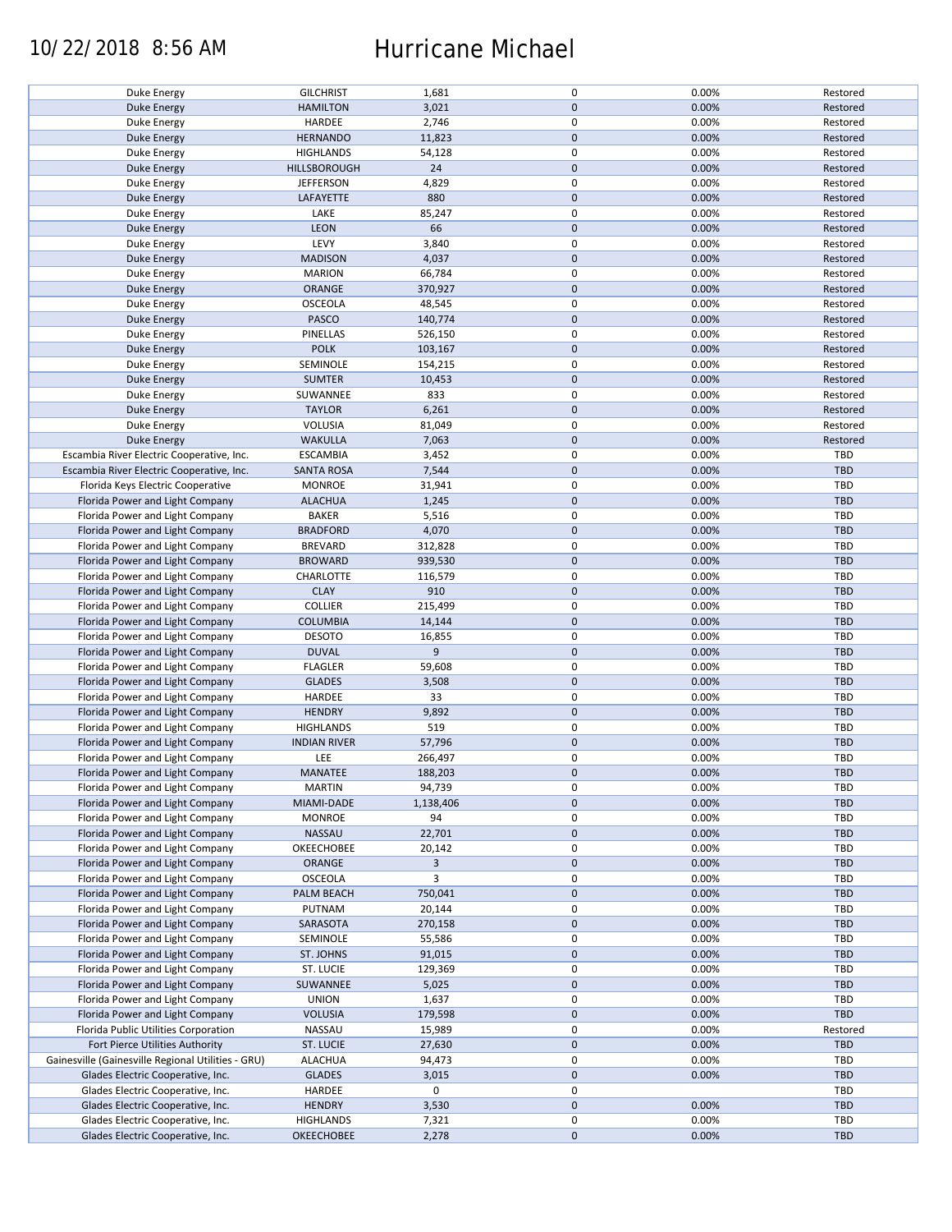### 10/22/2018 8:56 AM Hurricane Michael

| Duke Energy                                        | <b>GILCHRIST</b>    | 1,681     | 0            | 0.00% | Restored   |
|----------------------------------------------------|---------------------|-----------|--------------|-------|------------|
|                                                    |                     |           |              |       |            |
| Duke Energy                                        | <b>HAMILTON</b>     | 3,021     | $\mathbf{0}$ | 0.00% | Restored   |
| Duke Energy                                        | HARDEE              | 2,746     | 0            | 0.00% | Restored   |
| Duke Energy                                        | <b>HERNANDO</b>     | 11,823    | $\mathbf 0$  | 0.00% | Restored   |
| Duke Energy                                        | <b>HIGHLANDS</b>    | 54,128    | 0            | 0.00% | Restored   |
| Duke Energy                                        | <b>HILLSBOROUGH</b> | 24        | $\mathbf 0$  | 0.00% | Restored   |
|                                                    |                     |           |              |       |            |
| Duke Energy                                        | <b>JEFFERSON</b>    | 4,829     | 0            | 0.00% | Restored   |
| Duke Energy                                        | LAFAYETTE           | 880       | $\mathbf 0$  | 0.00% | Restored   |
| Duke Energy                                        | LAKE                | 85,247    | 0            | 0.00% | Restored   |
| Duke Energy                                        | <b>LEON</b>         | 66        | $\mathbf 0$  | 0.00% | Restored   |
|                                                    | LEVY                | 3,840     | 0            | 0.00% | Restored   |
| Duke Energy                                        |                     |           |              |       |            |
| Duke Energy                                        | <b>MADISON</b>      | 4,037     | $\mathbf 0$  | 0.00% | Restored   |
| Duke Energy                                        | <b>MARION</b>       | 66,784    | 0            | 0.00% | Restored   |
| Duke Energy                                        | ORANGE              | 370,927   | $\mathbf 0$  | 0.00% | Restored   |
| Duke Energy                                        | <b>OSCEOLA</b>      | 48,545    | 0            | 0.00% | Restored   |
|                                                    | <b>PASCO</b>        | 140,774   | $\mathbf 0$  | 0.00% | Restored   |
| Duke Energy                                        |                     |           |              |       |            |
| Duke Energy                                        | PINELLAS            | 526,150   | 0            | 0.00% | Restored   |
| Duke Energy                                        | <b>POLK</b>         | 103,167   | $\mathbf 0$  | 0.00% | Restored   |
| Duke Energy                                        | SEMINOLE            | 154,215   | 0            | 0.00% | Restored   |
| Duke Energy                                        | <b>SUMTER</b>       | 10,453    | $\mathbf 0$  | 0.00% | Restored   |
|                                                    | SUWANNEE            | 833       | 0            | 0.00% | Restored   |
| Duke Energy                                        |                     |           |              |       |            |
| <b>Duke Energy</b>                                 | <b>TAYLOR</b>       | 6,261     | $\mathbf 0$  | 0.00% | Restored   |
| Duke Energy                                        | VOLUSIA             | 81,049    | 0            | 0.00% | Restored   |
| <b>Duke Energy</b>                                 | <b>WAKULLA</b>      | 7,063     | $\mathbf 0$  | 0.00% | Restored   |
| Escambia River Electric Cooperative, Inc.          | <b>ESCAMBIA</b>     | 3,452     | $\pmb{0}$    | 0.00% | TBD        |
|                                                    |                     |           | $\mathbf 0$  | 0.00% | <b>TBD</b> |
| Escambia River Electric Cooperative, Inc.          | <b>SANTA ROSA</b>   | 7,544     |              |       |            |
| Florida Keys Electric Cooperative                  | <b>MONROE</b>       | 31,941    | 0            | 0.00% | TBD        |
| Florida Power and Light Company                    | <b>ALACHUA</b>      | 1,245     | $\mathbf 0$  | 0.00% | TBD        |
| Florida Power and Light Company                    | <b>BAKER</b>        | 5,516     | 0            | 0.00% | TBD        |
| Florida Power and Light Company                    | <b>BRADFORD</b>     | 4,070     | $\pmb{0}$    | 0.00% | TBD        |
|                                                    |                     |           |              |       |            |
| Florida Power and Light Company                    | <b>BREVARD</b>      | 312,828   | 0            | 0.00% | TBD        |
| Florida Power and Light Company                    | <b>BROWARD</b>      | 939,530   | $\mathbf 0$  | 0.00% | <b>TBD</b> |
| Florida Power and Light Company                    | CHARLOTTE           | 116,579   | 0            | 0.00% | TBD        |
| Florida Power and Light Company                    | <b>CLAY</b>         | 910       | $\mathbf 0$  | 0.00% | <b>TBD</b> |
| Florida Power and Light Company                    | <b>COLLIER</b>      | 215,499   | 0            | 0.00% | TBD        |
|                                                    |                     |           | $\mathbf 0$  |       | <b>TBD</b> |
| Florida Power and Light Company                    | <b>COLUMBIA</b>     | 14,144    |              | 0.00% |            |
| Florida Power and Light Company                    | <b>DESOTO</b>       | 16,855    | 0            | 0.00% | TBD        |
| Florida Power and Light Company                    | <b>DUVAL</b>        | 9         | $\pmb{0}$    | 0.00% | TBD        |
| Florida Power and Light Company                    | <b>FLAGLER</b>      | 59,608    | 0            | 0.00% | TBD        |
| Florida Power and Light Company                    | <b>GLADES</b>       | 3,508     | $\mathbf 0$  | 0.00% | TBD        |
|                                                    |                     |           | 0            |       |            |
| Florida Power and Light Company                    | HARDEE              | 33        |              | 0.00% | TBD        |
| Florida Power and Light Company                    | <b>HENDRY</b>       | 9,892     | $\mathbf 0$  | 0.00% | <b>TBD</b> |
| Florida Power and Light Company                    | <b>HIGHLANDS</b>    | 519       | 0            | 0.00% | TBD        |
| Florida Power and Light Company                    | <b>INDIAN RIVER</b> | 57,796    | $\mathbf 0$  | 0.00% | TBD        |
| Florida Power and Light Company                    | LEE                 | 266,497   | 0            | 0.00% | TBD        |
|                                                    |                     |           | $\Omega$     |       |            |
| Florida Power and Light Company                    | <b>MANATEE</b>      | 188,203   |              | 0.00% | TBD        |
| Florida Power and Light Company                    | <b>MARTIN</b>       | 94,739    | 0            | 0.00% | TBD        |
| Florida Power and Light Company                    | MIAMI-DADE          | 1,138,406 | $\mathbf 0$  | 0.00% | TBD        |
| Florida Power and Light Company                    | <b>MONROE</b>       | 94        | 0            | 0.00% | TBD        |
| Florida Power and Light Company                    | <b>NASSAU</b>       | 22,701    | $\mathbf 0$  | 0.00% | TBD        |
|                                                    |                     |           |              |       |            |
| Florida Power and Light Company                    | OKEECHOBEE          | 20,142    | 0            | 0.00% | TBD        |
| Florida Power and Light Company                    | ORANGE              | 3         | $\mathbf 0$  | 0.00% | TBD        |
| Florida Power and Light Company                    | <b>OSCEOLA</b>      | 3         | 0            | 0.00% | TBD        |
| Florida Power and Light Company                    | PALM BEACH          | 750,041   | $\mathbf 0$  | 0.00% | TBD        |
| Florida Power and Light Company                    | PUTNAM              | 20,144    | 0            | 0.00% | TBD        |
|                                                    |                     |           |              |       |            |
| Florida Power and Light Company                    | SARASOTA            | 270,158   | $\mathbf 0$  | 0.00% | TBD        |
| Florida Power and Light Company                    | SEMINOLE            | 55,586    | 0            | 0.00% | TBD        |
| Florida Power and Light Company                    | ST. JOHNS           | 91,015    | $\mathbf 0$  | 0.00% | TBD        |
| Florida Power and Light Company                    | ST. LUCIE           | 129,369   | 0            | 0.00% | TBD        |
| Florida Power and Light Company                    | SUWANNEE            | 5,025     | $\mathbf 0$  | 0.00% | TBD        |
|                                                    |                     |           |              |       |            |
| Florida Power and Light Company                    | <b>UNION</b>        | 1,637     | 0            | 0.00% | TBD        |
| Florida Power and Light Company                    | <b>VOLUSIA</b>      | 179,598   | $\mathbf 0$  | 0.00% | TBD        |
| Florida Public Utilities Corporation               | NASSAU              | 15,989    | 0            | 0.00% | Restored   |
| Fort Pierce Utilities Authority                    | ST. LUCIE           | 27,630    | $\mathbf 0$  | 0.00% | TBD        |
| Gainesville (Gainesville Regional Utilities - GRU) | <b>ALACHUA</b>      | 94,473    | 0            | 0.00% | TBD        |
|                                                    |                     |           |              |       |            |
| Glades Electric Cooperative, Inc.                  | <b>GLADES</b>       | 3,015     | $\mathbf 0$  | 0.00% | TBD        |
| Glades Electric Cooperative, Inc.                  | HARDEE              | 0         | 0            |       | TBD        |
| Glades Electric Cooperative, Inc.                  | <b>HENDRY</b>       | 3,530     | $\mathbf 0$  | 0.00% | TBD        |
| Glades Electric Cooperative, Inc.                  | <b>HIGHLANDS</b>    | 7,321     | 0            | 0.00% | TBD        |
| Glades Electric Cooperative, Inc.                  |                     |           | $\mathbf 0$  | 0.00% | TBD        |
|                                                    | <b>OKEECHOBEE</b>   | 2,278     |              |       |            |